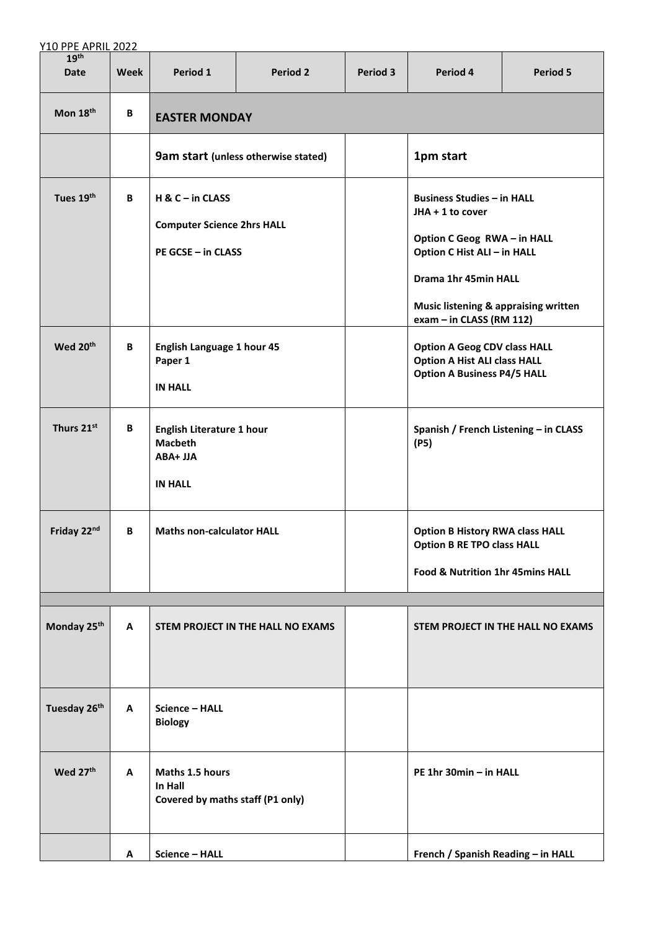| <b>Y10 PPE APRIL 2022</b>       |      |                                                                                  |                                   |                                               |                                                                                                                                                                                                  |                                   |  |  |
|---------------------------------|------|----------------------------------------------------------------------------------|-----------------------------------|-----------------------------------------------|--------------------------------------------------------------------------------------------------------------------------------------------------------------------------------------------------|-----------------------------------|--|--|
| 19 <sup>th</sup><br><b>Date</b> | Week | Period 1                                                                         | <b>Period 2</b>                   | Period 3                                      | Period 4                                                                                                                                                                                         | Period 5                          |  |  |
| Mon 18th                        | B    | <b>EASTER MONDAY</b>                                                             |                                   |                                               |                                                                                                                                                                                                  |                                   |  |  |
|                                 |      | 9am start (unless otherwise stated)                                              |                                   |                                               | 1pm start                                                                                                                                                                                        |                                   |  |  |
| Tues 19th                       | B    | $H & C - in CLASS$<br><b>Computer Science 2hrs HALL</b><br>PE GCSE - in CLASS    |                                   |                                               | <b>Business Studies - in HALL</b><br>$JHA + 1$ to cover<br>Option C Geog RWA - in HALL<br>Option C Hist ALI - in HALL<br>Drama 1hr 45min HALL<br><b>Music listening &amp; appraising written</b> |                                   |  |  |
| Wed 20th                        | B    | English Language 1 hour 45<br>Paper 1<br><b>IN HALL</b>                          |                                   |                                               | exam - in CLASS (RM 112)<br><b>Option A Geog CDV class HALL</b><br><b>Option A Hist ALI class HALL</b><br><b>Option A Business P4/5 HALL</b>                                                     |                                   |  |  |
| Thurs 21st                      | B    | <b>English Literature 1 hour</b><br><b>Macbeth</b><br>ABA+ JJA<br><b>IN HALL</b> |                                   | Spanish / French Listening - in CLASS<br>(P5) |                                                                                                                                                                                                  |                                   |  |  |
| Friday 22nd                     | B.   | <b>Maths non-calculator HALL</b>                                                 |                                   |                                               | <b>Option B History RWA class HALL</b><br><b>Option B RE TPO class HALL</b><br>Food & Nutrition 1hr 45mins HALL                                                                                  |                                   |  |  |
|                                 |      |                                                                                  |                                   |                                               |                                                                                                                                                                                                  |                                   |  |  |
| Monday 25 <sup>th</sup>         | A    |                                                                                  | STEM PROJECT IN THE HALL NO EXAMS |                                               |                                                                                                                                                                                                  | STEM PROJECT IN THE HALL NO EXAMS |  |  |
| Tuesday 26th                    | A    | <b>Science - HALL</b><br><b>Biology</b>                                          |                                   |                                               |                                                                                                                                                                                                  |                                   |  |  |
| Wed 27th                        | A    | Maths 1.5 hours<br>In Hall<br>Covered by maths staff (P1 only)                   |                                   |                                               | PE 1hr 30min - in HALL                                                                                                                                                                           |                                   |  |  |
|                                 | Α    | <b>Science - HALL</b>                                                            |                                   |                                               | French / Spanish Reading - in HALL                                                                                                                                                               |                                   |  |  |